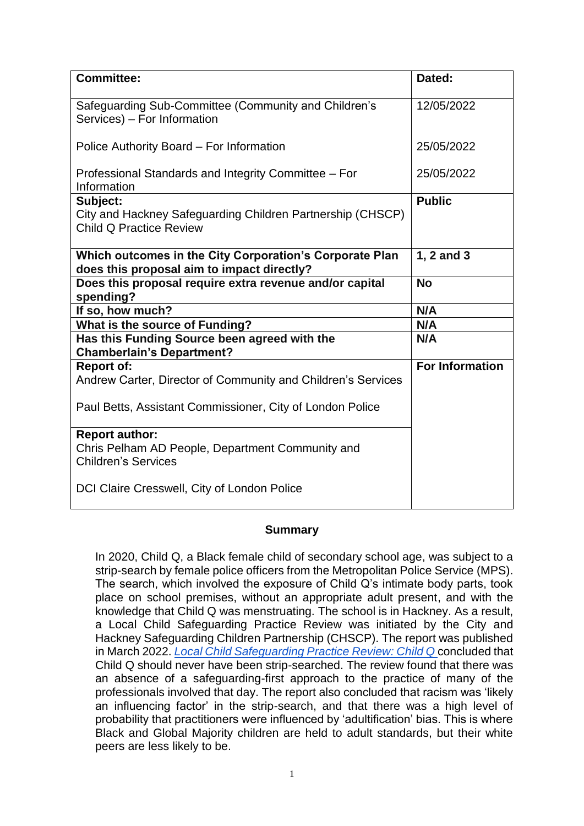| <b>Committee:</b>                                                                                        | Dated:                 |
|----------------------------------------------------------------------------------------------------------|------------------------|
| Safeguarding Sub-Committee (Community and Children's<br>Services) - For Information                      | 12/05/2022             |
| Police Authority Board - For Information                                                                 | 25/05/2022             |
| Professional Standards and Integrity Committee – For<br>Information                                      | 25/05/2022             |
| Subject:<br>City and Hackney Safeguarding Children Partnership (CHSCP)<br><b>Child Q Practice Review</b> | <b>Public</b>          |
| Which outcomes in the City Corporation's Corporate Plan<br>does this proposal aim to impact directly?    | 1, 2 and 3             |
| Does this proposal require extra revenue and/or capital<br>spending?                                     | <b>No</b>              |
| If so, how much?                                                                                         | N/A                    |
| What is the source of Funding?                                                                           | N/A                    |
| Has this Funding Source been agreed with the<br><b>Chamberlain's Department?</b>                         | N/A                    |
| <b>Report of:</b><br>Andrew Carter, Director of Community and Children's Services                        | <b>For Information</b> |
| Paul Betts, Assistant Commissioner, City of London Police                                                |                        |
| <b>Report author:</b><br>Chris Pelham AD People, Department Community and<br><b>Children's Services</b>  |                        |
| DCI Claire Cresswell, City of London Police                                                              |                        |

### **Summary**

In 2020, Child Q, a Black female child of secondary school age, was subject to a strip-search by female police officers from the Metropolitan Police Service (MPS). The search, which involved the exposure of Child Q's intimate body parts, took place on school premises, without an appropriate adult present, and with the knowledge that Child Q was menstruating. The school is in Hackney. As a result, a Local Child Safeguarding Practice Review was initiated by the City and Hackney Safeguarding Children Partnership (CHSCP). The report was published in March 2022. *[Local Child Safeguarding Practice Review: Child Q](https://chscp.org.uk/wp-content/uploads/2022/03/Child-Q-PUBLISHED-14-March-22.pdf)* concluded that Child Q should never have been strip-searched. The review found that there was an absence of a safeguarding-first approach to the practice of many of the professionals involved that day. The report also concluded that racism was 'likely an influencing factor' in the strip-search, and that there was a high level of probability that practitioners were influenced by 'adultification' bias. This is where Black and Global Majority children are held to adult standards, but their white peers are less likely to be.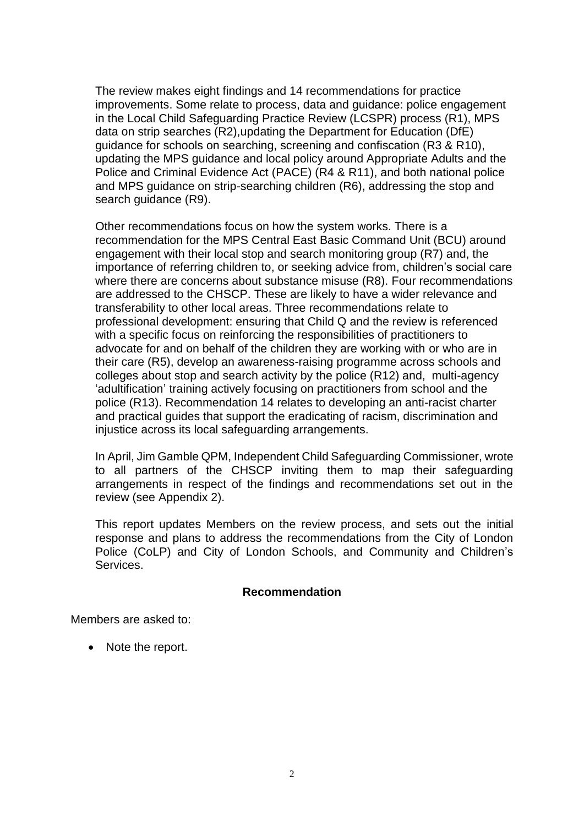The review makes eight findings and 14 recommendations for practice improvements. Some relate to process, data and guidance: police engagement in the Local Child Safeguarding Practice Review (LCSPR) process (R1), MPS data on strip searches (R2),updating the Department for Education (DfE) guidance for schools on searching, screening and confiscation (R3 & R10), updating the MPS guidance and local policy around Appropriate Adults and the Police and Criminal Evidence Act (PACE) (R4 & R11), and both national police and MPS guidance on strip-searching children (R6), addressing the stop and search guidance (R9).

Other recommendations focus on how the system works. There is a recommendation for the MPS Central East Basic Command Unit (BCU) around engagement with their local stop and search monitoring group (R7) and, the importance of referring children to, or seeking advice from, children's social care where there are concerns about substance misuse (R8). Four recommendations are addressed to the CHSCP. These are likely to have a wider relevance and transferability to other local areas. Three recommendations relate to professional development: ensuring that Child Q and the review is referenced with a specific focus on reinforcing the responsibilities of practitioners to advocate for and on behalf of the children they are working with or who are in their care (R5), develop an awareness-raising programme across schools and colleges about stop and search activity by the police (R12) and, multi-agency 'adultification' training actively focusing on practitioners from school and the police (R13). Recommendation 14 relates to developing an anti-racist charter and practical guides that support the eradicating of racism, discrimination and injustice across its local safeguarding arrangements.

In April, Jim Gamble QPM, Independent Child Safeguarding Commissioner, wrote to all partners of the CHSCP inviting them to map their safeguarding arrangements in respect of the findings and recommendations set out in the review (see Appendix 2).

This report updates Members on the review process, and sets out the initial response and plans to address the recommendations from the City of London Police (CoLP) and City of London Schools, and Community and Children's Services.

#### **Recommendation**

Members are asked to:

• Note the report.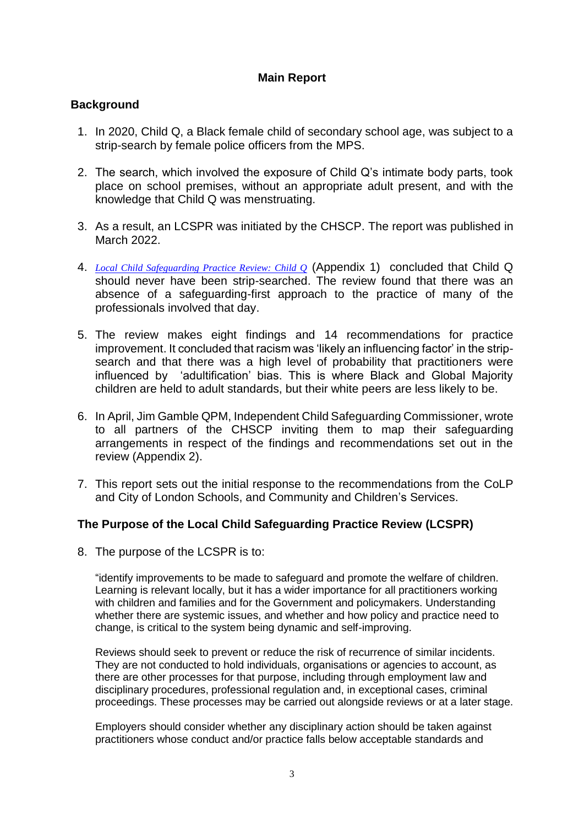# **Main Report**

### **Background**

- 1. In 2020, Child Q, a Black female child of secondary school age, was subject to a strip-search by female police officers from the MPS.
- 2. The search, which involved the exposure of Child Q's intimate body parts, took place on school premises, without an appropriate adult present, and with the knowledge that Child Q was menstruating.
- 3. As a result, an LCSPR was initiated by the CHSCP. The report was published in March 2022.
- 4. *[Local Child Safeguarding Practice Review:](https://chscp.org.uk/wp-content/uploads/2022/03/Child-Q-PUBLISHED-14-March-22.pdf) Child Q* (Appendix 1) concluded that Child Q should never have been strip-searched. The review found that there was an absence of a safeguarding-first approach to the practice of many of the professionals involved that day.
- 5. The review makes eight findings and 14 recommendations for practice improvement. It concluded that racism was 'likely an influencing factor' in the stripsearch and that there was a high level of probability that practitioners were influenced by 'adultification' bias. This is where Black and Global Majority children are held to adult standards, but their white peers are less likely to be.
- 6. In April, Jim Gamble QPM, Independent Child Safeguarding Commissioner, wrote to all partners of the CHSCP inviting them to map their safeguarding arrangements in respect of the findings and recommendations set out in the review (Appendix 2).
- 7. This report sets out the initial response to the recommendations from the CoLP and City of London Schools, and Community and Children's Services.

### **The Purpose of the Local Child Safeguarding Practice Review (LCSPR)**

8. The purpose of the LCSPR is to:

"identify improvements to be made to safeguard and promote the welfare of children. Learning is relevant locally, but it has a wider importance for all practitioners working with children and families and for the Government and policymakers. Understanding whether there are systemic issues, and whether and how policy and practice need to change, is critical to the system being dynamic and self-improving.

Reviews should seek to prevent or reduce the risk of recurrence of similar incidents. They are not conducted to hold individuals, organisations or agencies to account, as there are other processes for that purpose, including through employment law and disciplinary procedures, professional regulation and, in exceptional cases, criminal proceedings. These processes may be carried out alongside reviews or at a later stage.

Employers should consider whether any disciplinary action should be taken against practitioners whose conduct and/or practice falls below acceptable standards and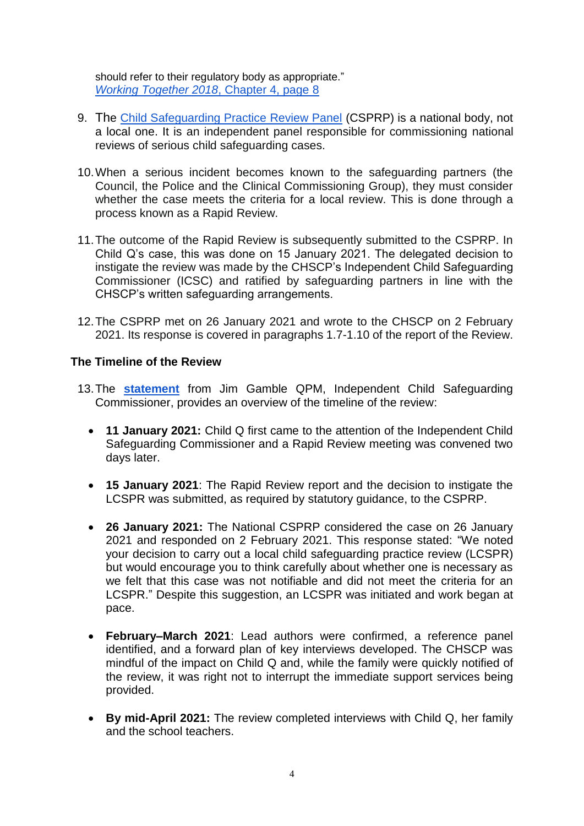should refer to their regulatory body as appropriate." *[Working Together 2018](https://assets.publishing.service.gov.uk/government/uploads/system/uploads/attachment_data/file/942454/Working_together_to_safeguard_children_inter_agency_guidance.pdf)*, Chapter 4, page 8

- 9. The [Child Safeguarding Practice Review Panel](https://www.gov.uk/government/organisations/child-safeguarding-practice-review-panel) (CSPRP) is a national body, not a local one. It is an independent panel responsible for commissioning national reviews of serious child safeguarding cases.
- 10.When a serious incident becomes known to the safeguarding partners (the Council, the Police and the Clinical Commissioning Group), they must consider whether the case meets the criteria for a local review. This is done through a process known as a Rapid Review.
- 11.The outcome of the Rapid Review is subsequently submitted to the CSPRP. In Child Q's case, this was done on 15 January 2021. The delegated decision to instigate the review was made by the CHSCP's Independent Child Safeguarding Commissioner (ICSC) and ratified by safeguarding partners in line with the CHSCP's written safeguarding arrangements.
- 12.The CSPRP met on 26 January 2021 and wrote to the CHSCP on 2 February 2021. Its response is covered in paragraphs 1.7-1.10 of the report of the Review.

### **The Timeline of the Review**

- 13.The **[statement](https://chscp.org.uk/wp-content/uploads/2022/03/JG-3rd-Statement-Child-Q.pdf)** from Jim Gamble QPM, Independent Child Safeguarding Commissioner, provides an overview of the timeline of the review:
	- **11 January 2021:** Child Q first came to the attention of the Independent Child Safeguarding Commissioner and a Rapid Review meeting was convened two days later.
	- **15 January 2021**: The Rapid Review report and the decision to instigate the LCSPR was submitted, as required by statutory guidance, to the CSPRP.
	- **26 January 2021:** The National CSPRP considered the case on 26 January 2021 and responded on 2 February 2021. This response stated: "We noted your decision to carry out a local child safeguarding practice review (LCSPR) but would encourage you to think carefully about whether one is necessary as we felt that this case was not notifiable and did not meet the criteria for an LCSPR." Despite this suggestion, an LCSPR was initiated and work began at pace.
	- **February–March 2021**: Lead authors were confirmed, a reference panel identified, and a forward plan of key interviews developed. The CHSCP was mindful of the impact on Child Q and, while the family were quickly notified of the review, it was right not to interrupt the immediate support services being provided.
	- **By mid-April 2021:** The review completed interviews with Child Q, her family and the school teachers.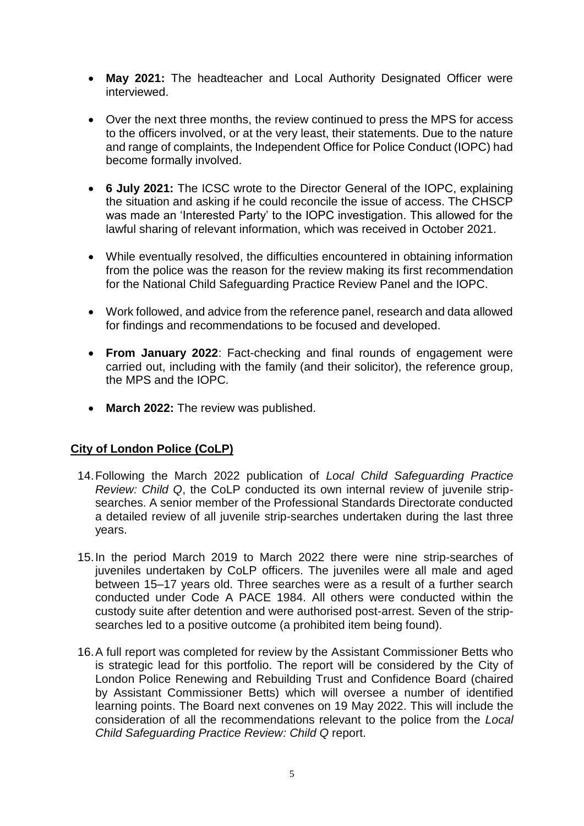- **May 2021:** The headteacher and Local Authority Designated Officer were interviewed.
- Over the next three months, the review continued to press the MPS for access to the officers involved, or at the very least, their statements. Due to the nature and range of complaints, the Independent Office for Police Conduct (IOPC) had become formally involved.
- **6 July 2021:** The ICSC wrote to the Director General of the IOPC, explaining the situation and asking if he could reconcile the issue of access. The CHSCP was made an 'Interested Party' to the IOPC investigation. This allowed for the lawful sharing of relevant information, which was received in October 2021.
- While eventually resolved, the difficulties encountered in obtaining information from the police was the reason for the review making its first recommendation for the National Child Safeguarding Practice Review Panel and the IOPC.
- Work followed, and advice from the reference panel, research and data allowed for findings and recommendations to be focused and developed.
- **From January 2022**: Fact-checking and final rounds of engagement were carried out, including with the family (and their solicitor), the reference group, the MPS and the IOPC.
- **March 2022:** The review was published.

# **City of London Police (CoLP)**

- 14.Following the March 2022 publication of *Local Child Safeguarding Practice Review: Child Q*, the CoLP conducted its own internal review of juvenile stripsearches. A senior member of the Professional Standards Directorate conducted a detailed review of all juvenile strip-searches undertaken during the last three years.
- 15.In the period March 2019 to March 2022 there were nine strip-searches of juveniles undertaken by CoLP officers. The juveniles were all male and aged between 15–17 years old. Three searches were as a result of a further search conducted under Code A PACE 1984. All others were conducted within the custody suite after detention and were authorised post-arrest. Seven of the stripsearches led to a positive outcome (a prohibited item being found).
- 16.A full report was completed for review by the Assistant Commissioner Betts who is strategic lead for this portfolio. The report will be considered by the City of London Police Renewing and Rebuilding Trust and Confidence Board (chaired by Assistant Commissioner Betts) which will oversee a number of identified learning points. The Board next convenes on 19 May 2022. This will include the consideration of all the recommendations relevant to the police from the *Local Child Safeguarding Practice Review: Child Q* report.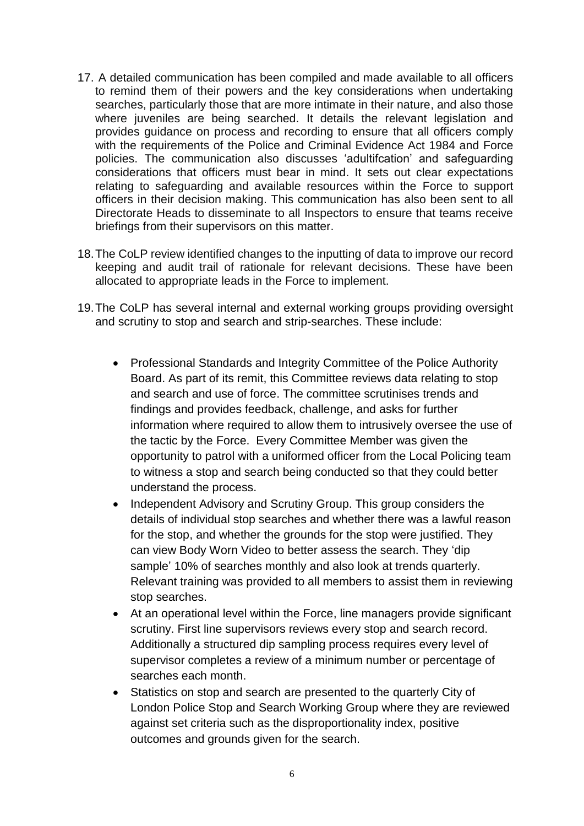- 17. A detailed communication has been compiled and made available to all officers to remind them of their powers and the key considerations when undertaking searches, particularly those that are more intimate in their nature, and also those where juveniles are being searched. It details the relevant legislation and provides guidance on process and recording to ensure that all officers comply with the requirements of the Police and Criminal Evidence Act 1984 and Force policies. The communication also discusses 'adultifcation' and safeguarding considerations that officers must bear in mind. It sets out clear expectations relating to safeguarding and available resources within the Force to support officers in their decision making. This communication has also been sent to all Directorate Heads to disseminate to all Inspectors to ensure that teams receive briefings from their supervisors on this matter.
- 18.The CoLP review identified changes to the inputting of data to improve our record keeping and audit trail of rationale for relevant decisions. These have been allocated to appropriate leads in the Force to implement.
- 19.The CoLP has several internal and external working groups providing oversight and scrutiny to stop and search and strip-searches. These include:
	- Professional Standards and Integrity Committee of the Police Authority Board. As part of its remit, this Committee reviews data relating to stop and search and use of force. The committee scrutinises trends and findings and provides feedback, challenge, and asks for further information where required to allow them to intrusively oversee the use of the tactic by the Force. Every Committee Member was given the opportunity to patrol with a uniformed officer from the Local Policing team to witness a stop and search being conducted so that they could better understand the process.
	- Independent Advisory and Scrutiny Group. This group considers the details of individual stop searches and whether there was a lawful reason for the stop, and whether the grounds for the stop were justified. They can view Body Worn Video to better assess the search. They 'dip sample' 10% of searches monthly and also look at trends quarterly. Relevant training was provided to all members to assist them in reviewing stop searches.
	- At an operational level within the Force, line managers provide significant scrutiny. First line supervisors reviews every stop and search record. Additionally a structured dip sampling process requires every level of supervisor completes a review of a minimum number or percentage of searches each month.
	- Statistics on stop and search are presented to the quarterly City of London Police Stop and Search Working Group where they are reviewed against set criteria such as the disproportionality index, positive outcomes and grounds given for the search.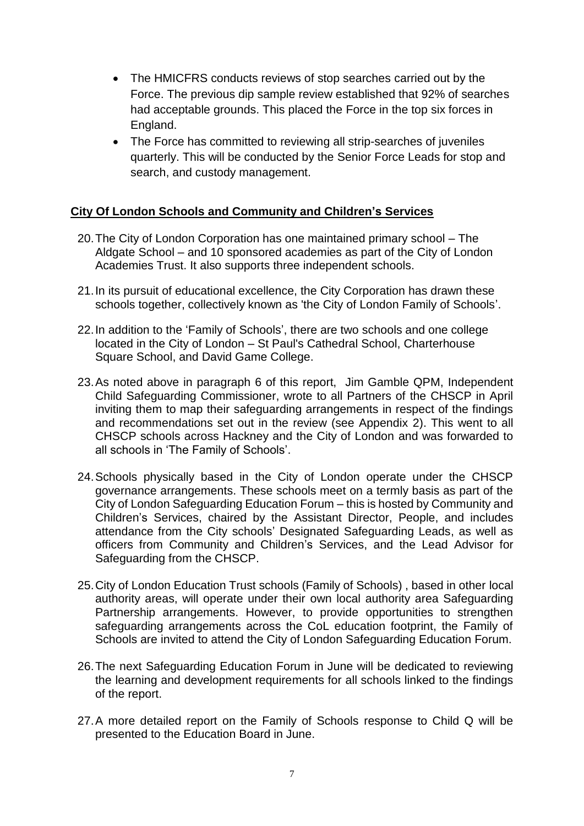- The HMICFRS conducts reviews of stop searches carried out by the Force. The previous dip sample review established that 92% of searches had acceptable grounds. This placed the Force in the top six forces in England.
- The Force has committed to reviewing all strip-searches of juveniles quarterly. This will be conducted by the Senior Force Leads for stop and search, and custody management.

# **City Of London Schools and Community and Children's Services**

- 20.The City of London Corporation has one maintained primary school The Aldgate School – and 10 sponsored academies as part of the City of London Academies Trust. It also supports three independent schools.
- 21.In its pursuit of educational excellence, the City Corporation has drawn these schools together, collectively known as 'the City of London Family of Schools'.
- 22.In addition to the 'Family of Schools', there are two schools and one college located in the City of London – St Paul's Cathedral School, Charterhouse Square School, and David Game College.
- 23.As noted above in paragraph 6 of this report, Jim Gamble QPM, Independent Child Safeguarding Commissioner, wrote to all Partners of the CHSCP in April inviting them to map their safeguarding arrangements in respect of the findings and recommendations set out in the review (see Appendix 2). This went to all CHSCP schools across Hackney and the City of London and was forwarded to all schools in 'The Family of Schools'.
- 24.Schools physically based in the City of London operate under the CHSCP governance arrangements. These schools meet on a termly basis as part of the City of London Safeguarding Education Forum – this is hosted by Community and Children's Services, chaired by the Assistant Director, People, and includes attendance from the City schools' Designated Safeguarding Leads, as well as officers from Community and Children's Services, and the Lead Advisor for Safeguarding from the CHSCP.
- 25.City of London Education Trust schools (Family of Schools) , based in other local authority areas, will operate under their own local authority area Safeguarding Partnership arrangements. However, to provide opportunities to strengthen safeguarding arrangements across the CoL education footprint, the Family of Schools are invited to attend the City of London Safeguarding Education Forum.
- 26.The next Safeguarding Education Forum in June will be dedicated to reviewing the learning and development requirements for all schools linked to the findings of the report.
- 27.A more detailed report on the Family of Schools response to Child Q will be presented to the Education Board in June.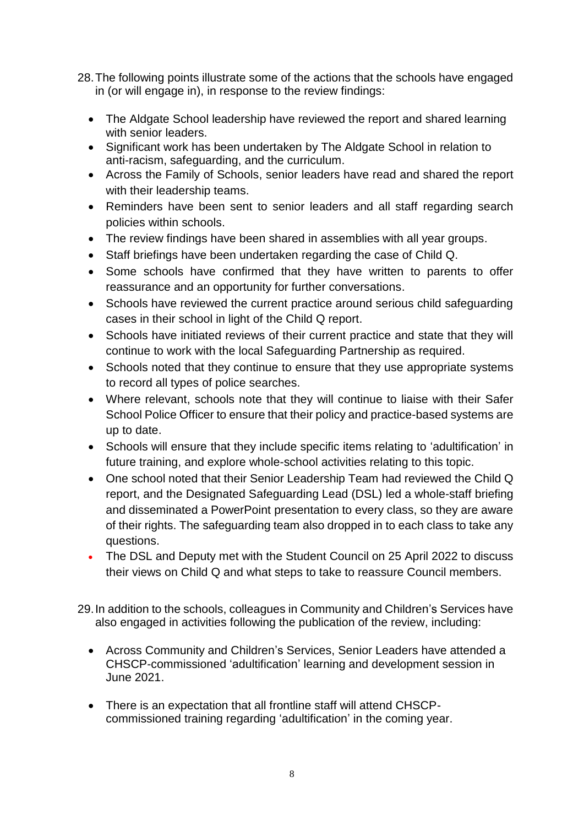- 28.The following points illustrate some of the actions that the schools have engaged in (or will engage in), in response to the review findings:
	- The Aldgate School leadership have reviewed the report and shared learning with senior leaders.
	- Significant work has been undertaken by The Aldgate School in relation to anti-racism, safeguarding, and the curriculum.
	- Across the Family of Schools, senior leaders have read and shared the report with their leadership teams.
	- Reminders have been sent to senior leaders and all staff regarding search policies within schools.
	- The review findings have been shared in assemblies with all year groups.
	- Staff briefings have been undertaken regarding the case of Child Q.
	- Some schools have confirmed that they have written to parents to offer reassurance and an opportunity for further conversations.
	- Schools have reviewed the current practice around serious child safeguarding cases in their school in light of the Child Q report.
	- Schools have initiated reviews of their current practice and state that they will continue to work with the local Safeguarding Partnership as required.
	- Schools noted that they continue to ensure that they use appropriate systems to record all types of police searches.
	- Where relevant, schools note that they will continue to liaise with their Safer School Police Officer to ensure that their policy and practice-based systems are up to date.
	- Schools will ensure that they include specific items relating to 'adultification' in future training, and explore whole-school activities relating to this topic.
	- One school noted that their Senior Leadership Team had reviewed the Child Q report, and the Designated Safeguarding Lead (DSL) led a whole-staff briefing and disseminated a PowerPoint presentation to every class, so they are aware of their rights. The safeguarding team also dropped in to each class to take any questions.
	- The DSL and Deputy met with the Student Council on 25 April 2022 to discuss their views on Child Q and what steps to take to reassure Council members.
- 29.In addition to the schools, colleagues in Community and Children's Services have also engaged in activities following the publication of the review, including:
	- Across Community and Children's Services, Senior Leaders have attended a CHSCP-commissioned 'adultification' learning and development session in June 2021.
	- There is an expectation that all frontline staff will attend CHSCPcommissioned training regarding 'adultification' in the coming year.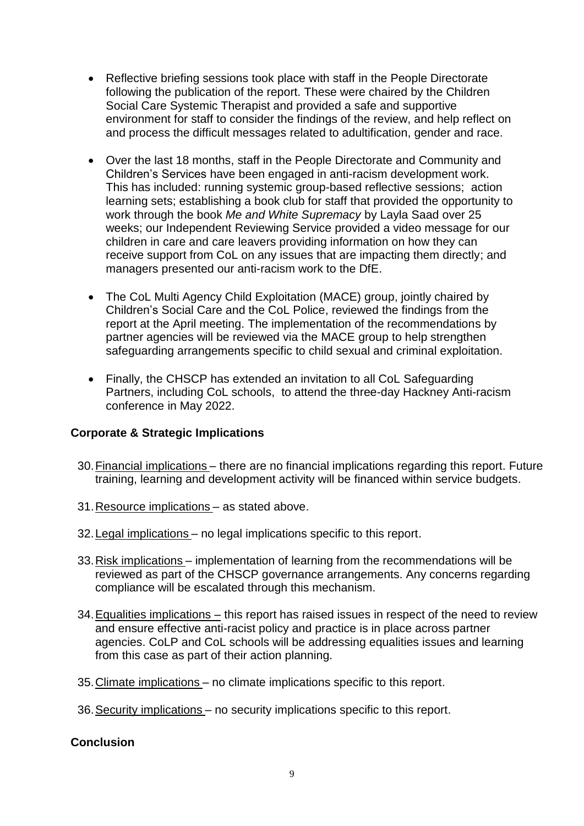- Reflective briefing sessions took place with staff in the People Directorate following the publication of the report. These were chaired by the Children Social Care Systemic Therapist and provided a safe and supportive environment for staff to consider the findings of the review, and help reflect on and process the difficult messages related to adultification, gender and race.
- Over the last 18 months, staff in the People Directorate and Community and Children's Services have been engaged in anti-racism development work. This has included: running systemic group-based reflective sessions; action learning sets; establishing a book club for staff that provided the opportunity to work through the book *Me and White Supremacy* by Layla Saad over 25 weeks; our Independent Reviewing Service provided a video message for our children in care and care leavers providing information on how they can receive support from CoL on any issues that are impacting them directly; and managers presented our anti-racism work to the DfE.
- The CoL Multi Agency Child Exploitation (MACE) group, jointly chaired by Children's Social Care and the CoL Police, reviewed the findings from the report at the April meeting. The implementation of the recommendations by partner agencies will be reviewed via the MACE group to help strengthen safeguarding arrangements specific to child sexual and criminal exploitation.
- Finally, the CHSCP has extended an invitation to all CoL Safeguarding Partners, including CoL schools, to attend the three-day Hackney Anti-racism conference in May 2022.

# **Corporate & Strategic Implications**

- 30.Financial implications there are no financial implications regarding this report. Future training, learning and development activity will be financed within service budgets.
- 31.Resource implications as stated above.
- 32.Legal implications no legal implications specific to this report.
- 33.Risk implications implementation of learning from the recommendations will be reviewed as part of the CHSCP governance arrangements. Any concerns regarding compliance will be escalated through this mechanism.
- 34. Equalities implications this report has raised issues in respect of the need to review and ensure effective anti-racist policy and practice is in place across partner agencies. CoLP and CoL schools will be addressing equalities issues and learning from this case as part of their action planning.
- 35.Climate implications no climate implications specific to this report.
- 36.Security implications no security implications specific to this report.

### **Conclusion**